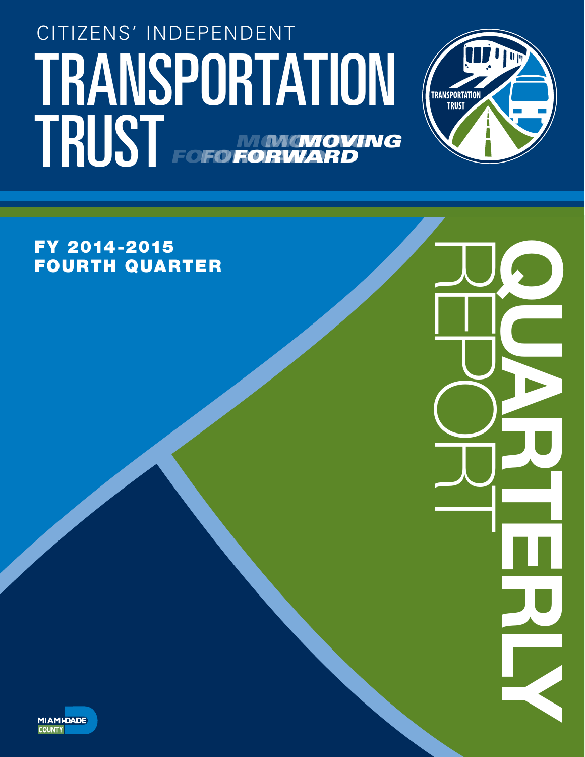# TRANSPORTATION (TRANSPORTATION CITIZENS' INDEPENDENT TRUST FOFO NONGNOVING *FORWARD MOVING* **FORWA** *MOVING* **FOFO FORV**



REPORT QUARTERLY

FY 2014-2015 FOURTH QUARTER

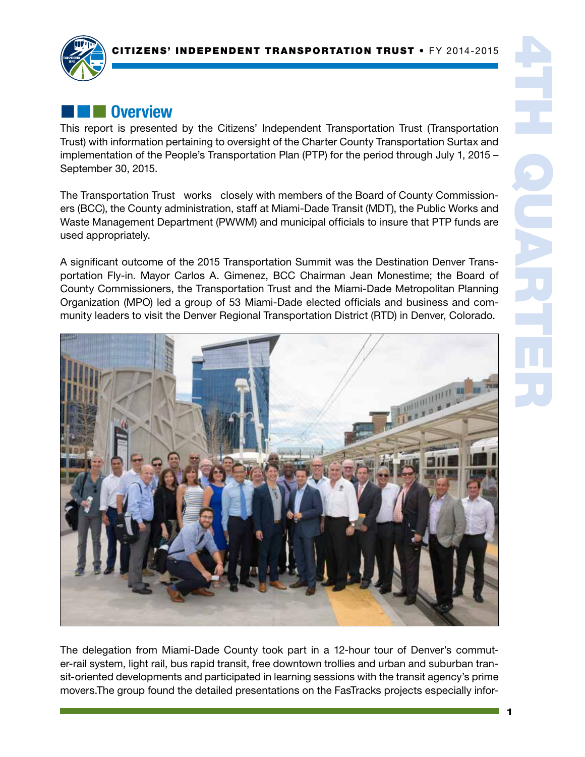

## **Execute Overview**

This report is presented by the Citizens' Independent Transportation Trust (Transportation Trust) with information pertaining to oversight of the Charter County Transportation Surtax and implementation of the People's Transportation Plan (PTP) for the period through July 1, 2015 – September 30, 2015.

The Transportation Trust works closely with members of the Board of County Commissioners (BCC), the County administration, staff at Miami-Dade Transit (MDT), the Public Works and Waste Management Department (PWWM) and municipal officials to insure that PTP funds are used appropriately.

A significant outcome of the 2015 Transportation Summit was the Destination Denver Transportation Fly-in. Mayor Carlos A. Gimenez, BCC Chairman Jean Monestime; the Board of County Commissioners, the Transportation Trust and the Miami-Dade Metropolitan Planning Organization (MPO) led a group of 53 Miami-Dade elected officials and business and community leaders to visit the Denver Regional Transportation District (RTD) in Denver, Colorado.



The delegation from Miami-Dade County took part in a 12-hour tour of Denver's commuter-rail system, light rail, bus rapid transit, free downtown trollies and urban and suburban transit-oriented developments and participated in learning sessions with the transit agency's prime movers.The group found the detailed presentations on the FasTracks projects especially infor-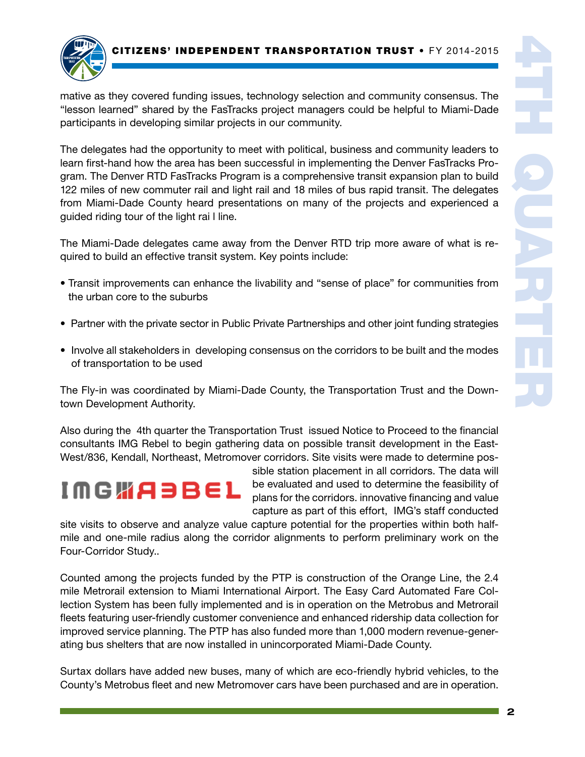

mative as they covered funding issues, technology selection and community consensus. The "lesson learned" shared by the FasTracks project managers could be helpful to Miami-Dade participants in developing similar projects in our community.

The delegates had the opportunity to meet with political, business and community leaders to learn first-hand how the area has been successful in implementing the Denver FasTracks Program. The Denver RTD FasTracks Program is a comprehensive transit expansion plan to build 122 miles of new commuter rail and light rail and 18 miles of bus rapid transit. The delegates from Miami-Dade County heard presentations on many of the projects and experienced a guided riding tour of the light rai l line.

The Miami-Dade delegates came away from the Denver RTD trip more aware of what is required to build an effective transit system. Key points include:

- Transit improvements can enhance the livability and "sense of place" for communities from the urban core to the suburbs
- Partner with the private sector in Public Private Partnerships and other joint funding strategies
- Involve all stakeholders in developing consensus on the corridors to be built and the modes of transportation to be used

The Fly-in was coordinated by Miami-Dade County, the Transportation Trust and the Downtown Development Authority.

Also during the 4th quarter the Transportation Trust issued Notice to Proceed to the financial consultants IMG Rebel to begin gathering data on possible transit development in the East-West/836, Kendall, Northeast, Metromover corridors. Site visits were made to determine pos-

$$
I\cap G\text{ with }A\ni B\in L
$$

sible station placement in all corridors. The data will be evaluated and used to determine the feasibility of plans for the corridors. innovative financing and value capture as part of this effort, IMG's staff conducted

site visits to observe and analyze value capture potential for the properties within both halfmile and one-mile radius along the corridor alignments to perform preliminary work on the Four-Corridor Study..

Counted among the projects funded by the PTP is construction of the Orange Line, the 2.4 mile Metrorail extension to Miami International Airport. The Easy Card Automated Fare Collection System has been fully implemented and is in operation on the Metrobus and Metrorail fleets featuring user-friendly customer convenience and enhanced ridership data collection for improved service planning. The PTP has also funded more than 1,000 modern revenue-generating bus shelters that are now installed in unincorporated Miami-Dade County.

Surtax dollars have added new buses, many of which are eco-friendly hybrid vehicles, to the County's Metrobus fleet and new Metromover cars have been purchased and are in operation.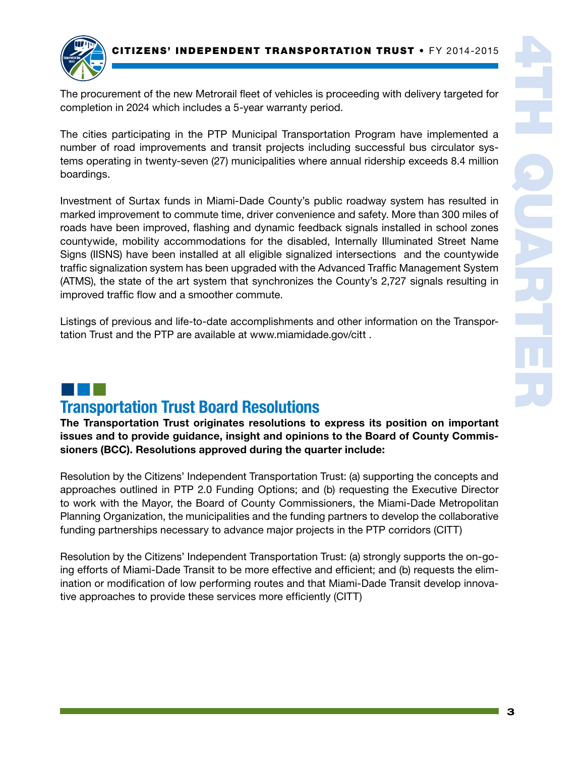

The procurement of the new Metrorail fleet of vehicles is proceeding with delivery targeted for completion in 2024 which includes a 5-year warranty period.

The cities participating in the PTP Municipal Transportation Program have implemented a number of road improvements and transit projects including successful bus circulator systems operating in twenty-seven (27) municipalities where annual ridership exceeds 8.4 million boardings.

Investment of Surtax funds in Miami-Dade County's public roadway system has resulted in marked improvement to commute time, driver convenience and safety. More than 300 miles of roads have been improved, flashing and dynamic feedback signals installed in school zones countywide, mobility accommodations for the disabled, Internally Illuminated Street Name Signs (IISNS) have been installed at all eligible signalized intersections and the countywide traffic signalization system has been upgraded with the Advanced Traffic Management System (ATMS), the state of the art system that synchronizes the County's 2,727 signals resulting in improved traffic flow and a smoother commute.

Listings of previous and life-to-date accomplishments and other information on the Transportation Trust and the PTP are available at www.miamidade.gov/citt .

### ¢¢¢ Transportation Trust Board Resolutions

The Transportation Trust originates resolutions to express its position on important issues and to provide guidance, insight and opinions to the Board of County Commissioners (BCC). Resolutions approved during the quarter include:

Resolution by the Citizens' Independent Transportation Trust: (a) supporting the concepts and approaches outlined in PTP 2.0 Funding Options; and (b) requesting the Executive Director to work with the Mayor, the Board of County Commissioners, the Miami-Dade Metropolitan Planning Organization, the municipalities and the funding partners to develop the collaborative funding partnerships necessary to advance major projects in the PTP corridors (CITT)

Resolution by the Citizens' Independent Transportation Trust: (a) strongly supports the on-going efforts of Miami-Dade Transit to be more effective and efficient; and (b) requests the elimination or modification of low performing routes and that Miami-Dade Transit develop innovative approaches to provide these services more efficiently (CITT)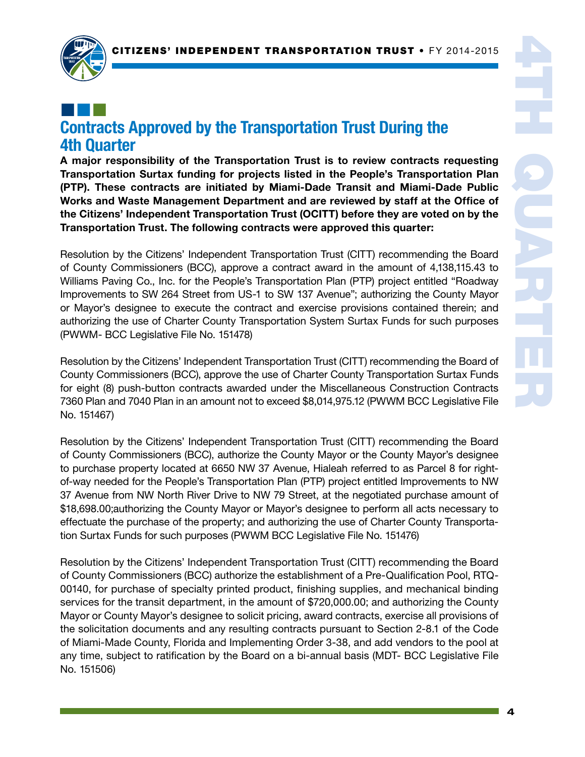

## ¢¢¢ Contracts Approved by the Transportation Trust During the 4th Quarter

A major responsibility of the Transportation Trust is to review contracts requesting Transportation Surtax funding for projects listed in the People's Transportation Plan (PTP). These contracts are initiated by Miami-Dade Transit and Miami-Dade Public Works and Waste Management Department and are reviewed by staff at the Office of the Citizens' Independent Transportation Trust (OCITT) before they are voted on by the Transportation Trust. The following contracts were approved this quarter:

Resolution by the Citizens' Independent Transportation Trust (CITT) recommending the Board of County Commissioners (BCC), approve a contract award in the amount of 4,138,115.43 to Williams Paving Co., Inc. for the People's Transportation Plan (PTP) project entitled "Roadway Improvements to SW 264 Street from US-1 to SW 137 Avenue"; authorizing the County Mayor or Mayor's designee to execute the contract and exercise provisions contained therein; and authorizing the use of Charter County Transportation System Surtax Funds for such purposes (PWWM- BCC Legislative File No. 151478)

Resolution by the Citizens' Independent Transportation Trust (CITT) recommending the Board of County Commissioners (BCC), approve the use of Charter County Transportation Surtax Funds for eight (8) push-button contracts awarded under the Miscellaneous Construction Contracts 7360 Plan and 7040 Plan in an amount not to exceed \$8,014,975.12 (PWWM BCC Legislative File No. 151467)

Resolution by the Citizens' Independent Transportation Trust (CITT) recommending the Board of County Commissioners (BCC), authorize the County Mayor or the County Mayor's designee to purchase property located at 6650 NW 37 Avenue, Hialeah referred to as Parcel 8 for rightof-way needed for the People's Transportation Plan (PTP) project entitled Improvements to NW 37 Avenue from NW North River Drive to NW 79 Street, at the negotiated purchase amount of \$18,698.00;authorizing the County Mayor or Mayor's designee to perform all acts necessary to effectuate the purchase of the property; and authorizing the use of Charter County Transportation Surtax Funds for such purposes (PWWM BCC Legislative File No. 151476)

Resolution by the Citizens' Independent Transportation Trust (CITT) recommending the Board of County Commissioners (BCC) authorize the establishment of a Pre-Qualification Pool, RTQ-00140, for purchase of specialty printed product, finishing supplies, and mechanical binding services for the transit department, in the amount of \$720,000.00; and authorizing the County Mayor or County Mayor's designee to solicit pricing, award contracts, exercise all provisions of the solicitation documents and any resulting contracts pursuant to Section 2-8.1 of the Code of Miami-Made County, Florida and Implementing Order 3-38, and add vendors to the pool at any time, subject to ratification by the Board on a bi-annual basis (MDT- BCC Legislative File No. 151506)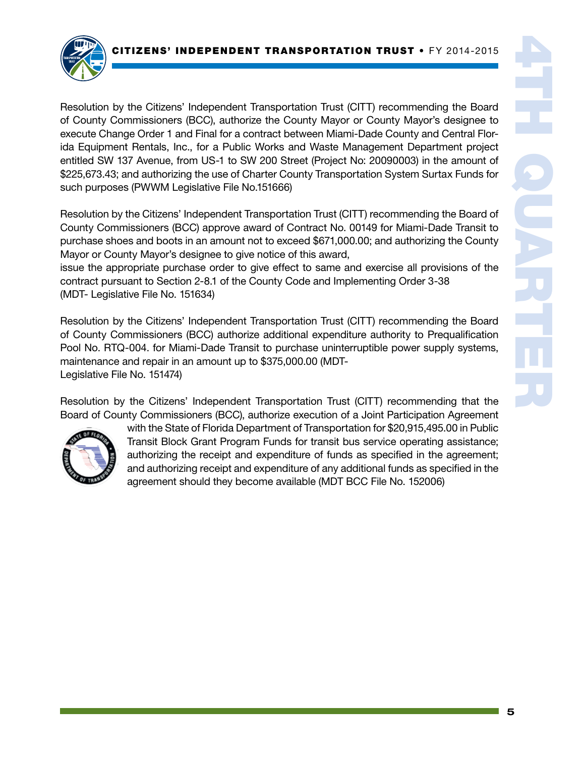

Resolution by the Citizens' Independent Transportation Trust (CITT) recommending the Board of County Commissioners (BCC), authorize the County Mayor or County Mayor's designee to execute Change Order 1 and Final for a contract between Miami-Dade County and Central Florida Equipment Rentals, Inc., for a Public Works and Waste Management Department project entitled SW 137 Avenue, from US-1 to SW 200 Street (Project No: 20090003) in the amount of \$225,673.43; and authorizing the use of Charter County Transportation System Surtax Funds for such purposes (PWWM Legislative File No.151666)

Resolution by the Citizens' Independent Transportation Trust (CITT) recommending the Board of County Commissioners (BCC) approve award of Contract No. 00149 for Miami-Dade Transit to purchase shoes and boots in an amount not to exceed \$671,000.00; and authorizing the County Mayor or County Mayor's designee to give notice of this award,

issue the appropriate purchase order to give effect to same and exercise all provisions of the contract pursuant to Section 2-8.1 of the County Code and Implementing Order 3-38 (MDT- Legislative File No. 151634)

Resolution by the Citizens' Independent Transportation Trust (CITT) recommending the Board of County Commissioners (BCC) authorize additional expenditure authority to Prequalification Pool No. RTQ-004. for Miami-Dade Transit to purchase uninterruptible power supply systems, maintenance and repair in an amount up to \$375,000.00 (MDT-Legislative File No. 151474)

Resolution by the Citizens' Independent Transportation Trust (CITT) recommending that the Board of County Commissioners (BCC), authorize execution of a Joint Participation Agreement



with the State of Florida Department of Transportation for \$20,915,495.00 in Public Transit Block Grant Program Funds for transit bus service operating assistance; authorizing the receipt and expenditure of funds as specified in the agreement; and authorizing receipt and expenditure of any additional funds as specified in the agreement should they become available (MDT BCC File No. 152006)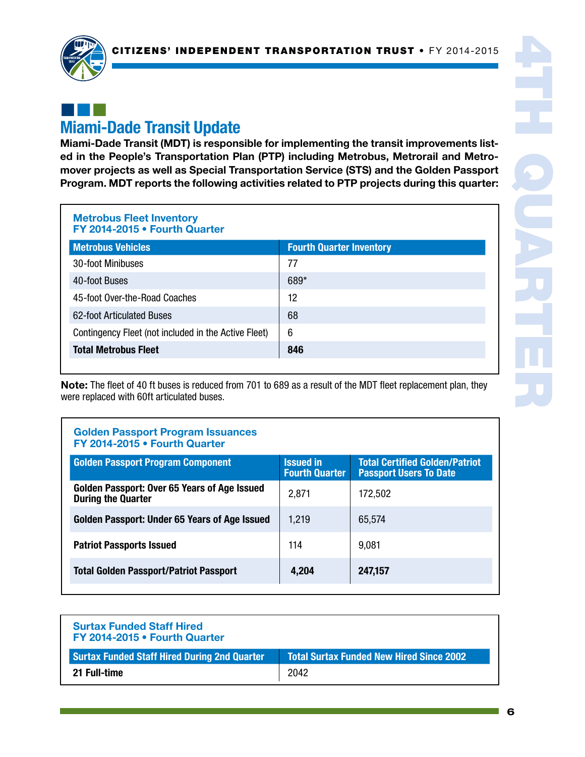

## ¢¢¢ Miami-Dade Transit Update

Miami-Dade Transit (MDT) is responsible for implementing the transit improvements listed in the People's Transportation Plan (PTP) including Metrobus, Metrorail and Metromover projects as well as Special Transportation Service (STS) and the Golden Passport Program. MDT reports the following activities related to PTP projects during this quarter:

Metrobus Fleet Inventory FY 2014-2015 • Fourth Quarter

| <b>Metrobus Vehicles</b>                             | <b>Fourth Quarter Inventory</b> |
|------------------------------------------------------|---------------------------------|
| 30-foot Minibuses                                    | 77                              |
| 40-foot Buses                                        | 689*                            |
| 45-foot Over-the-Road Coaches                        | 12                              |
| 62-foot Articulated Buses                            | 68                              |
| Contingency Fleet (not included in the Active Fleet) | 6                               |
| <b>Total Metrobus Fleet</b>                          | 846                             |

Note: The fleet of 40 ft buses is reduced from 701 to 689 as a result of the MDT fleet replacement plan, they were replaced with 60ft articulated buses.

### Golden Passport Program Issuances FY 2014-2015 • Fourth Quarter

| <b>Golden Passport Program Component</b>                                  | <b>Issued in</b><br><b>Fourth Quarter</b> | <b>Total Certified Golden/Patriot</b><br><b>Passport Users To Date</b> |
|---------------------------------------------------------------------------|-------------------------------------------|------------------------------------------------------------------------|
| Golden Passport: Over 65 Years of Age Issued<br><b>During the Quarter</b> | 2,871                                     | 172,502                                                                |
| Golden Passport: Under 65 Years of Age Issued                             | 1,219                                     | 65,574                                                                 |
| <b>Patriot Passports Issued</b>                                           | 114                                       | 9,081                                                                  |
| <b>Total Golden Passport/Patriot Passport</b>                             | 4,204                                     | 247,157                                                                |

| <b>Surtax Funded Staff Hired</b><br>FY 2014-2015 . Fourth Quarter |                                                 |
|-------------------------------------------------------------------|-------------------------------------------------|
| <b>Surtax Funded Staff Hired During 2nd Quarter</b>               | <b>Total Surtax Funded New Hired Since 2002</b> |
| 21 Full-time                                                      | 2042                                            |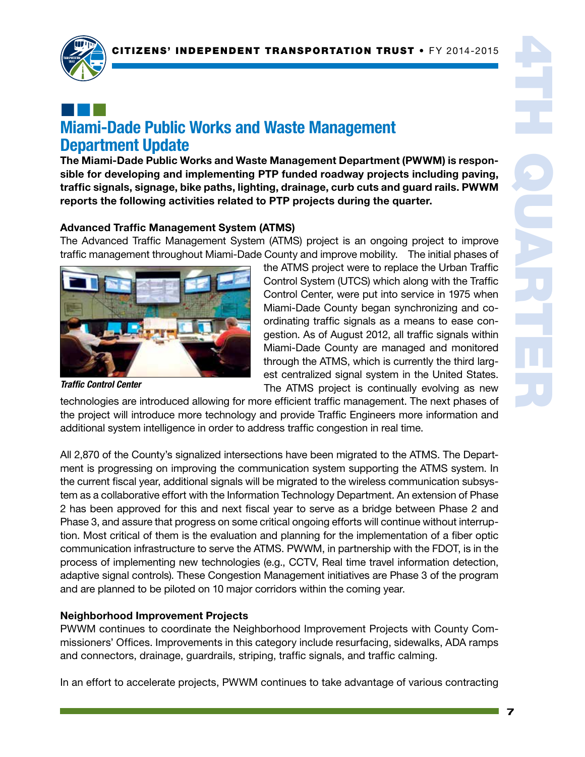

## ¢¢¢ Miami-Dade Public Works and Waste Management Department Update

The Miami-Dade Public Works and Waste Management Department (PWWM) is responsible for developing and implementing PTP funded roadway projects including paving, traffic signals, signage, bike paths, lighting, drainage, curb cuts and guard rails. PWWM reports the following activities related to PTP projects during the quarter.

### Advanced Traffic Management System (ATMS)

The Advanced Traffic Management System (ATMS) project is an ongoing project to improve traffic management throughout Miami-Dade County and improve mobility. The initial phases of



the ATMS project were to replace the Urban Traffic Control System (UTCS) which along with the Traffic Control Center, were put into service in 1975 when Miami-Dade County began synchronizing and coordinating traffic signals as a means to ease congestion. As of August 2012, all traffic signals within Miami-Dade County are managed and monitored through the ATMS, which is currently the third largest centralized signal system in the United States. The ATMS project is continually evolving as new

*Traffic Control Center*

technologies are introduced allowing for more efficient traffic management. The next phases of the project will introduce more technology and provide Traffic Engineers more information and additional system intelligence in order to address traffic congestion in real time.

All 2,870 of the County's signalized intersections have been migrated to the ATMS. The Department is progressing on improving the communication system supporting the ATMS system. In the current fiscal year, additional signals will be migrated to the wireless communication subsystem as a collaborative effort with the Information Technology Department. An extension of Phase 2 has been approved for this and next fiscal year to serve as a bridge between Phase 2 and Phase 3, and assure that progress on some critical ongoing efforts will continue without interruption. Most critical of them is the evaluation and planning for the implementation of a fiber optic communication infrastructure to serve the ATMS. PWWM, in partnership with the FDOT, is in the process of implementing new technologies (e.g., CCTV, Real time travel information detection, adaptive signal controls). These Congestion Management initiatives are Phase 3 of the program and are planned to be piloted on 10 major corridors within the coming year.

#### Neighborhood Improvement Projects

PWWM continues to coordinate the Neighborhood Improvement Projects with County Commissioners' Offices. Improvements in this category include resurfacing, sidewalks, ADA ramps and connectors, drainage, guardrails, striping, traffic signals, and traffic calming.

In an effort to accelerate projects, PWWM continues to take advantage of various contracting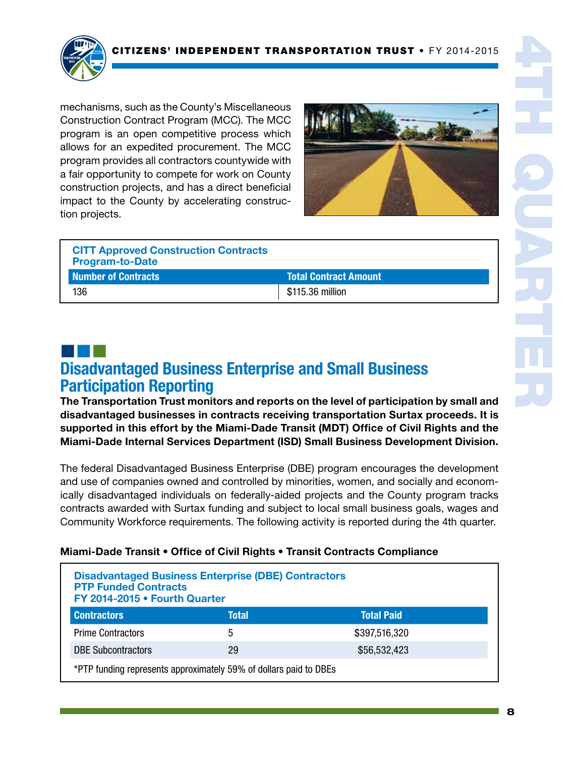

mechanisms, such as the County's Miscellaneous Construction Contract Program (MCC). The MCC program is an open competitive process which allows for an expedited procurement. The MCC program provides all contractors countywide with a fair opportunity to compete for work on County construction projects, and has a direct beneficial impact to the County by accelerating construction projects.



| <b>CITT Approved Construction Contracts</b><br><b>Program-to-Date</b> |                              |
|-----------------------------------------------------------------------|------------------------------|
| Number of Contracts                                                   | <b>Total Contract Amount</b> |
| 136                                                                   | \$115.36 million             |

# ¢¢¢

## Disadvantaged Business Enterprise and Small Business Participation Reporting

The Transportation Trust monitors and reports on the level of participation by small and disadvantaged businesses in contracts receiving transportation Surtax proceeds. It is supported in this effort by the Miami-Dade Transit (MDT) Office of Civil Rights and the Miami-Dade Internal Services Department (ISD) Small Business Development Division.

The federal Disadvantaged Business Enterprise (DBE) program encourages the development and use of companies owned and controlled by minorities, women, and socially and economically disadvantaged individuals on federally-aided projects and the County program tracks contracts awarded with Surtax funding and subject to local small business goals, wages and Community Workforce requirements. The following activity is reported during the 4th quarter.

### Miami-Dade Transit • Office of Civil Rights • Transit Contracts Compliance

| <b>Disadvantaged Business Enterprise (DBE) Contractors</b><br><b>PTP Funded Contracts</b><br>FY 2014-2015 . Fourth Quarter |              |                   |  |
|----------------------------------------------------------------------------------------------------------------------------|--------------|-------------------|--|
| <b>Contractors</b>                                                                                                         | <b>Total</b> | <b>Total Paid</b> |  |
| <b>Prime Contractors</b>                                                                                                   | 5            | \$397,516,320     |  |
| <b>DBE Subcontractors</b>                                                                                                  | 29           | \$56,532,423      |  |
| *PTP funding represents approximately 59% of dollars paid to DBEs                                                          |              |                   |  |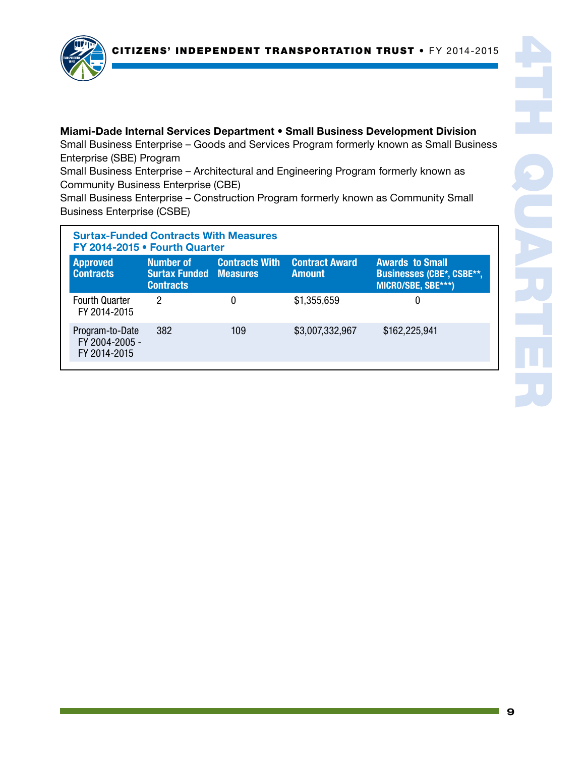

#### Miami-Dade Internal Services Department • Small Business Development Division

Small Business Enterprise – Goods and Services Program formerly known as Small Business Enterprise (SBE) Program

Small Business Enterprise – Architectural and Engineering Program formerly known as Community Business Enterprise (CBE)

Small Business Enterprise – Construction Program formerly known as Community Small Business Enterprise (CSBE)

| <b>Surtax-Funded Contracts With Measures</b><br>FY 2014-2015 • Fourth Quarter |                                                                |                       |                                        |                                                                                  |
|-------------------------------------------------------------------------------|----------------------------------------------------------------|-----------------------|----------------------------------------|----------------------------------------------------------------------------------|
| <b>Approved</b><br><b>Contracts</b>                                           | Number of<br><b>Surtax Funded Measures</b><br><b>Contracts</b> | <b>Contracts With</b> | <b>Contract Award</b><br><b>Amount</b> | <b>Awards to Small</b><br><b>Businesses (CBE*, CSBE**,</b><br>MICRO/SBE, SBE***) |
| <b>Fourth Quarter</b><br>FY 2014-2015                                         | 2                                                              | 0                     | \$1,355,659                            | 0                                                                                |
| Program-to-Date<br>FY 2004-2005 -<br>FY 2014-2015                             | 382                                                            | 109                   | \$3,007,332,967                        | \$162,225,941                                                                    |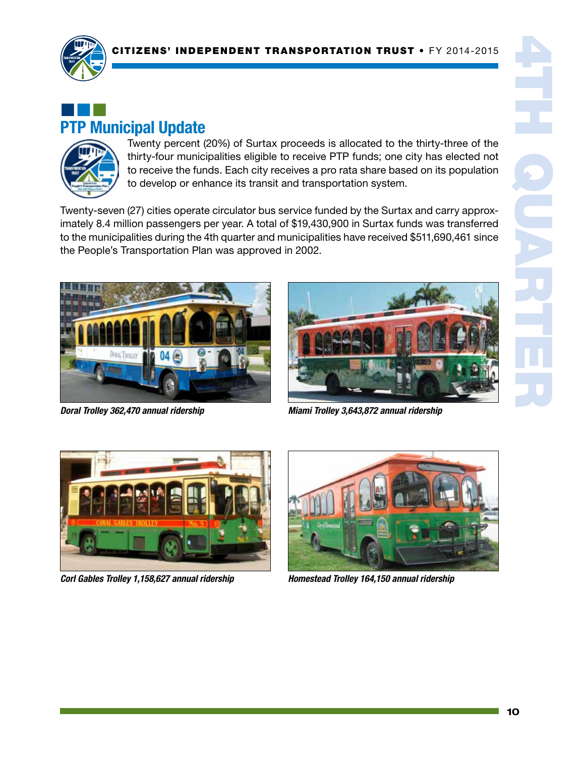

## ¢¢¢ PTP Municipal Update



Twenty percent (20%) of Surtax proceeds is allocated to the thirty-three of the thirty-four municipalities eligible to receive PTP funds; one city has elected not to receive the funds. Each city receives a pro rata share based on its population to develop or enhance its transit and transportation system.

Twenty-seven (27) cities operate circulator bus service funded by the Surtax and carry approximately 8.4 million passengers per year. A total of \$19,430,900 in Surtax funds was transferred to the municipalities during the 4th quarter and municipalities have received \$511,690,461 since the People's Transportation Plan was approved in 2002.



*Doral Trolley 362,470 annual ridership*



*Miami Trolley 3,643,872 annual ridership*



*Corl Gables Trolley 1,158,627 annual ridership*



*Homestead Trolley 164,150 annual ridership*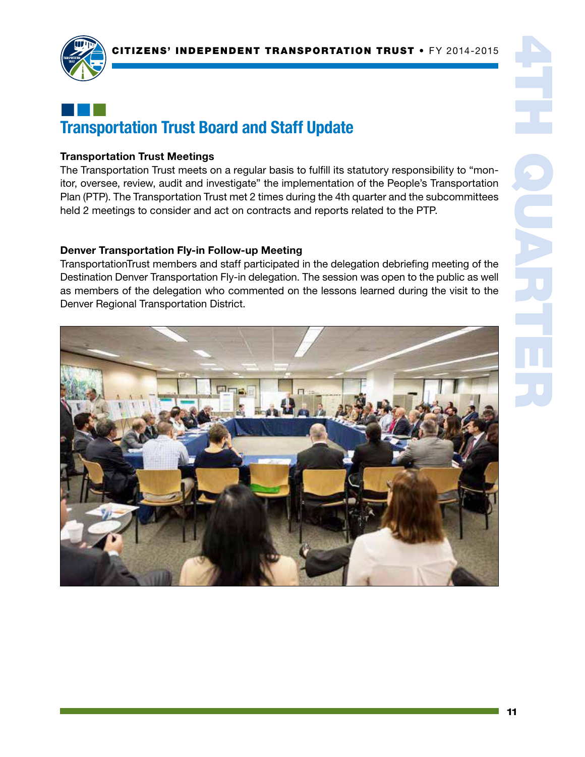

## ¢¢¢ Transportation Trust Board and Staff Update

#### Transportation Trust Meetings

The Transportation Trust meets on a regular basis to fulfill its statutory responsibility to "monitor, oversee, review, audit and investigate" the implementation of the People's Transportation Plan (PTP). The Transportation Trust met 2 times during the 4th quarter and the subcommittees held 2 meetings to consider and act on contracts and reports related to the PTP.

#### Denver Transportation Fly-in Follow-up Meeting

TransportationTrust members and staff participated in the delegation debriefing meeting of the Destination Denver Transportation Fly-in delegation. The session was open to the public as well as members of the delegation who commented on the lessons learned during the visit to the Denver Regional Transportation District.

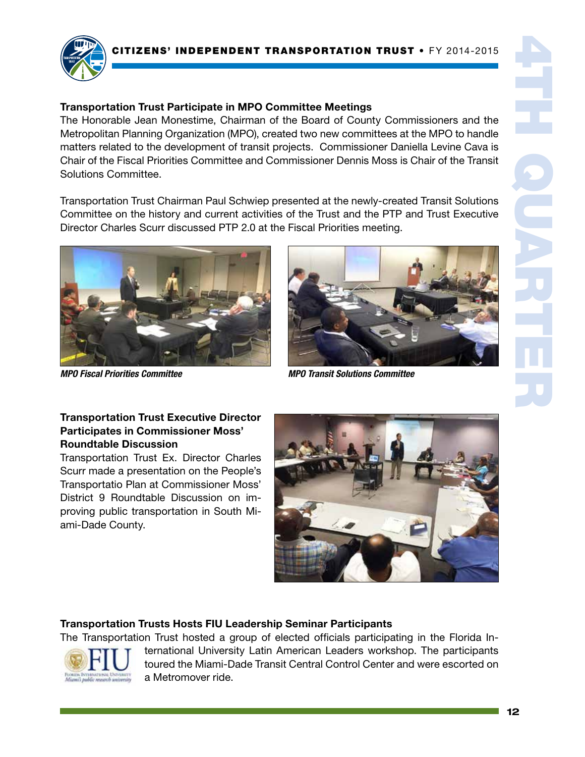



### Transportation Trust Participate in MPO Committee Meetings

The Honorable Jean Monestime, Chairman of the Board of County Commissioners and the Metropolitan Planning Organization (MPO), created two new committees at the MPO to handle matters related to the development of transit projects. Commissioner Daniella Levine Cava is Chair of the Fiscal Priorities Committee and Commissioner Dennis Moss is Chair of the Transit Solutions Committee.

Transportation Trust Chairman Paul Schwiep presented at the newly-created Transit Solutions Committee on the history and current activities of the Trust and the PTP and Trust Executive Director Charles Scurr discussed PTP 2.0 at the Fiscal Priorities meeting.





*MPO Fiscal Priorities Committee MPO Transit Solutions Committee*

### Transportation Trust Executive Director Participates in Commissioner Moss' Roundtable Discussion

Transportation Trust Ex. Director Charles Scurr made a presentation on the People's Transportatio Plan at Commissioner Moss' District 9 Roundtable Discussion on improving public transportation in South Miami-Dade County.



### Transportation Trusts Hosts FIU Leadership Seminar Participants

The Transportation Trust hosted a group of elected officials participating in the Florida In-



ternational University Latin American Leaders workshop. The participants toured the Miami-Dade Transit Central Control Center and were escorted on a Metromover ride.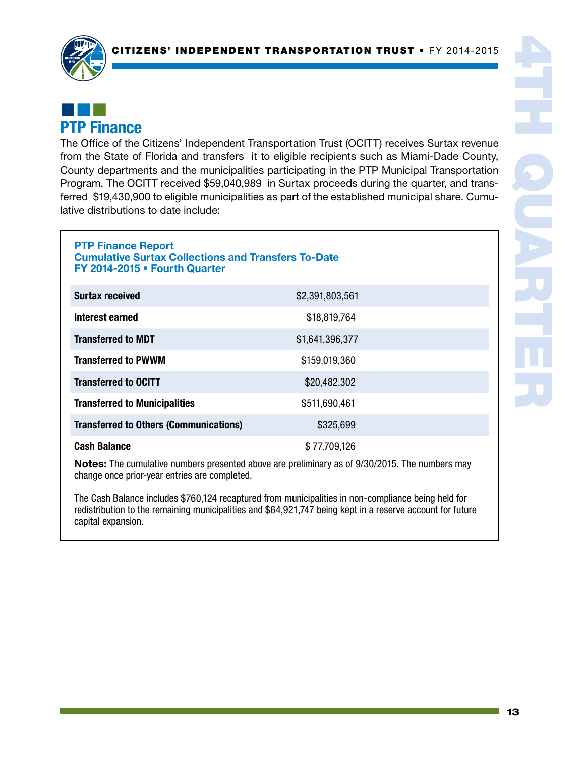

### ¢¢¢ PTP Finance

The Office of the Citizens' Independent Transportation Trust (OCITT) receives Surtax revenue from the State of Florida and transfers it to eligible recipients such as Miami-Dade County, County departments and the municipalities participating in the PTP Municipal Transportation Program. The OCITT received \$59,040,989 in Surtax proceeds during the quarter, and transferred \$19,430,900 to eligible municipalities as part of the established municipal share. Cumulative distributions to date include:

#### PTP Finance Report Cumulative Surtax Collections and Transfers To-Date FY 2014-2015 • Fourth Quarter

| <b>Surtax received</b>                        | \$2,391,803,561 |  |
|-----------------------------------------------|-----------------|--|
| Interest earned                               | \$18,819,764    |  |
| <b>Transferred to MDT</b>                     | \$1,641,396,377 |  |
| <b>Transferred to PWWM</b>                    | \$159,019,360   |  |
| <b>Transferred to OCITT</b>                   | \$20,482,302    |  |
| <b>Transferred to Municipalities</b>          | \$511,690,461   |  |
| <b>Transferred to Others (Communications)</b> | \$325,699       |  |
| <b>Cash Balance</b>                           | \$77,709,126    |  |

Notes: The cumulative numbers presented above are preliminary as of 9/30/2015. The numbers may change once prior-year entries are completed.

The Cash Balance includes \$760,124 recaptured from municipalities in non-compliance being held for redistribution to the remaining municipalities and \$64,921,747 being kept in a reserve account for future capital expansion.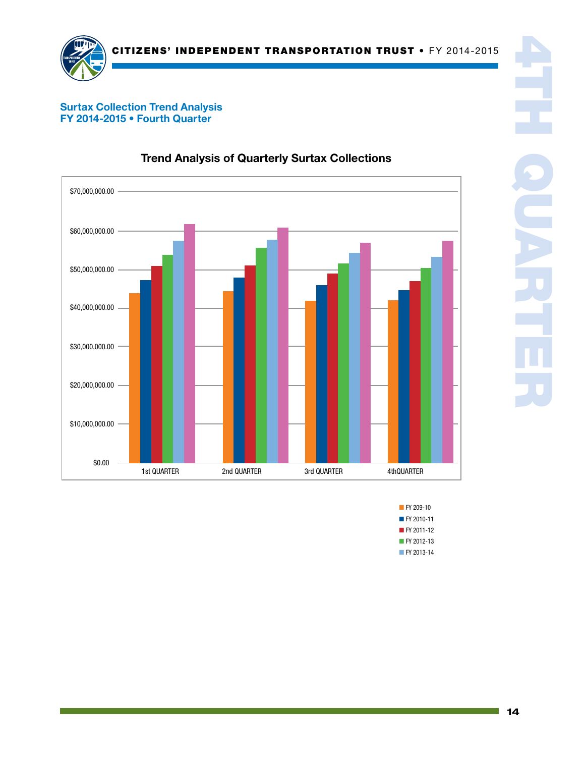

#### Surtax Collection Trend Analysis FY 2014-2015 • Fourth Quarter



### Trend Analysis of Quarterly Surtax Collections

■ FY 2010-11 **FY 209-10** ■ FY 2011-12 ■ FY 2012-13 ■ FY 2013-14